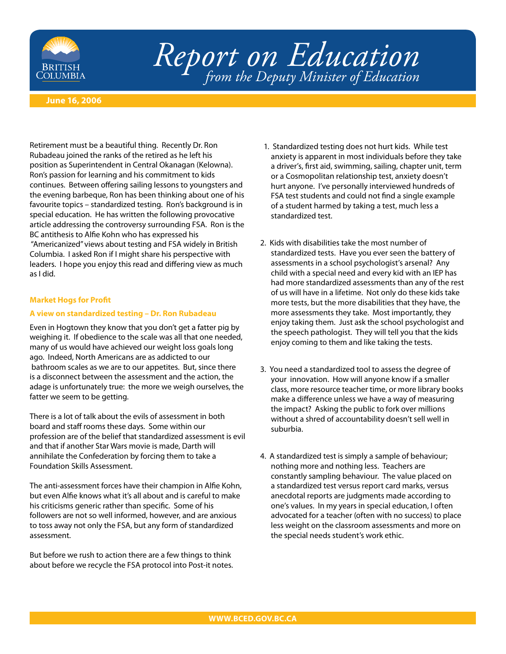

# *Report on Education from the Deputy Minister of Education*

## **June 16, 2006**

Retirement must be a beautiful thing. Recently Dr. Ron Rubadeau joined the ranks of the retired as he left his position as Superintendent in Central Okanagan (Kelowna). Ron's passion for learning and his commitment to kids continues. Between offering sailing lessons to youngsters and the evening barbeque, Ron has been thinking about one of his favourite topics – standardized testing. Ron's background is in special education. He has written the following provocative article addressing the controversy surrounding FSA. Ron is the BC antithesis to Alfie Kohn who has expressed his "Americanized" views about testing and FSA widely in British Columbia. I asked Ron if I might share his perspective with leaders. I hope you enjoy this read and differing view as much as I did.

### **Market Hogs for Profit**

### **A view on standardized testing – Dr. Ron Rubadeau**

Even in Hogtown they know that you don't get a fatter pig by weighing it. If obedience to the scale was all that one needed, many of us would have achieved our weight loss goals long ago. Indeed, North Americans are as addicted to our bathroom scales as we are to our appetites. But, since there is a disconnect between the assessment and the action, the adage is unfortunately true: the more we weigh ourselves, the fatter we seem to be getting.

There is a lot of talk about the evils of assessment in both board and staff rooms these days. Some within our profession are of the belief that standardized assessment is evil and that if another Star Wars movie is made, Darth will annihilate the Confederation by forcing them to take a Foundation Skills Assessment.

The anti-assessment forces have their champion in Alfie Kohn, but even Alfie knows what it's all about and is careful to make his criticisms generic rather than specific. Some of his followers are not so well informed, however, and are anxious to toss away not only the FSA, but any form of standardized assessment.

But before we rush to action there are a few things to think about before we recycle the FSA protocol into Post-it notes.

- 1. Standardized testing does not hurt kids. While test anxiety is apparent in most individuals before they take a driver's, first aid, swimming, sailing, chapter unit, term or a Cosmopolitan relationship test, anxiety doesn't hurt anyone. I've personally interviewed hundreds of FSA test students and could not find a single example of a student harmed by taking a test, much less a standardized test.
- 2. Kids with disabilities take the most number of standardized tests. Have you ever seen the battery of assessments in a school psychologist's arsenal? Any child with a special need and every kid with an IEP has had more standardized assessments than any of the rest of us will have in a lifetime. Not only do these kids take more tests, but the more disabilities that they have, the more assessments they take. Most importantly, they enjoy taking them. Just ask the school psychologist and the speech pathologist. They will tell you that the kids enjoy coming to them and like taking the tests.
- 3. You need a standardized tool to assess the degree of your innovation. How will anyone know if a smaller class, more resource teacher time, or more library books make a difference unless we have a way of measuring the impact? Asking the public to fork over millions without a shred of accountability doesn't sell well in suburbia.
- 4. A standardized test is simply a sample of behaviour; nothing more and nothing less. Teachers are constantly sampling behaviour. The value placed on a standardized test versus report card marks, versus anecdotal reports are judgments made according to one's values. In my years in special education, I often advocated for a teacher (often with no success) to place less weight on the classroom assessments and more on the special needs student's work ethic.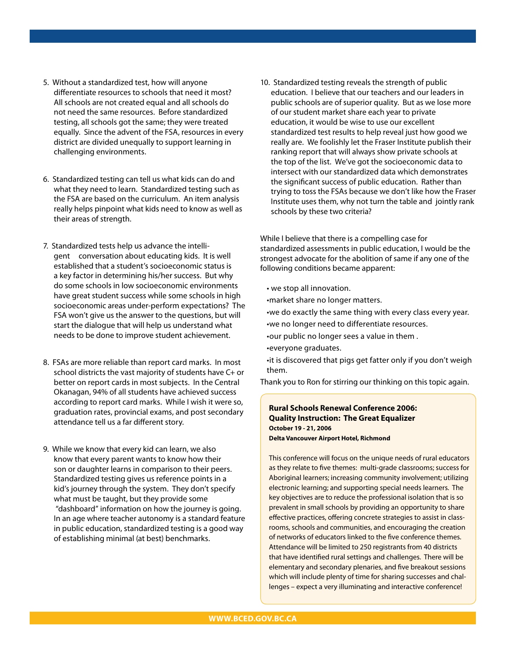- 5. Without a standardized test, how will anyone differentiate resources to schools that need it most? All schools are not created equal and all schools do not need the same resources. Before standardized testing, all schools got the same; they were treated equally. Since the advent of the FSA, resources in every district are divided unequally to support learning in challenging environments.
- 6. Standardized testing can tell us what kids can do and what they need to learn. Standardized testing such as the FSA are based on the curriculum. An item analysis really helps pinpoint what kids need to know as well as their areas of strength.
- 7. Standardized tests help us advance the intelligent conversation about educating kids. It is well established that a student's socioeconomic status is a key factor in determining his/her success. But why do some schools in low socioeconomic environments have great student success while some schools in high socioeconomic areas under-perform expectations? The FSA won't give us the answer to the questions, but will start the dialogue that will help us understand what needs to be done to improve student achievement.
- 8. FSAs are more reliable than report card marks. In most school districts the vast majority of students have C+ or better on report cards in most subjects. In the Central Okanagan, 94% of all students have achieved success according to report card marks. While I wish it were so, graduation rates, provincial exams, and post secondary attendance tell us a far different story.
- 9. While we know that every kid can learn, we also know that every parent wants to know how their son or daughter learns in comparison to their peers. Standardized testing gives us reference points in a kid's journey through the system. They don't specify what must be taught, but they provide some "dashboard" information on how the journey is going. In an age where teacher autonomy is a standard feature in public education, standardized testing is a good way of establishing minimal (at best) benchmarks.

10. Standardized testing reveals the strength of public education. I believe that our teachers and our leaders in public schools are of superior quality. But as we lose more of our student market share each year to private education, it would be wise to use our excellent standardized test results to help reveal just how good we really are. We foolishly let the Fraser Institute publish their ranking report that will always show private schools at the top of the list. We've got the socioeconomic data to intersect with our standardized data which demonstrates the significant success of public education. Rather than trying to toss the FSAs because we don't like how the Fraser Institute uses them, why not turn the table and jointly rank schools by these two criteria?

While I believe that there is a compelling case for standardized assessments in public education, I would be the strongest advocate for the abolition of same if any one of the following conditions became apparent:

- we stop all innovation.
- •market share no longer matters.
- •we do exactly the same thing with every class every year.
- •we no longer need to differentiate resources.
- •our public no longer sees a value in them .
- •everyone graduates.
- •it is discovered that pigs get fatter only if you don't weigh them.

Thank you to Ron for stirring our thinking on this topic again.

# **Rural Schools Renewal Conference 2006: Quality Instruction: The Great Equalizer October 19 - 21, 2006 Delta Vancouver Airport Hotel, Richmond**

This conference will focus on the unique needs of rural educators as they relate to five themes: multi-grade classrooms; success for Aboriginal learners; increasing community involvement; utilizing electronic learning; and supporting special needs learners. The key objectives are to reduce the professional isolation that is so prevalent in small schools by providing an opportunity to share effective practices, offering concrete strategies to assist in classrooms, schools and communities, and encouraging the creation of networks of educators linked to the five conference themes. Attendance will be limited to 250 registrants from 40 districts that have identified rural settings and challenges. There will be elementary and secondary plenaries, and five breakout sessions which will include plenty of time for sharing successes and challenges – expect a very illuminating and interactive conference!